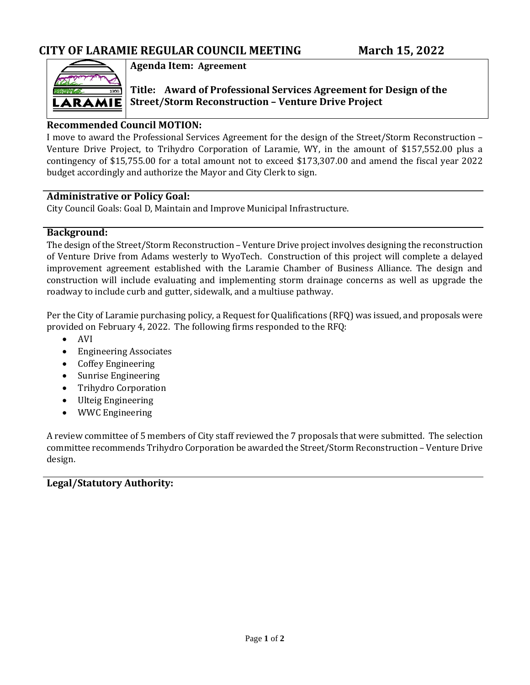

**Agenda Item: Agreement**

**Title: Award of Professional Services Agreement for Design of the Street/Storm Reconstruction – Venture Drive Project**

# **Recommended Council MOTION:**

I move to award the Professional Services Agreement for the design of the Street/Storm Reconstruction – Venture Drive Project, to Trihydro Corporation of Laramie, WY, in the amount of \$157,552.00 plus a contingency of \$15,755.00 for a total amount not to exceed \$173,307.00 and amend the fiscal year 2022 budget accordingly and authorize the Mayor and City Clerk to sign.

### **Administrative or Policy Goal:**

City Council Goals: Goal D, Maintain and Improve Municipal Infrastructure.

### **Background:**

The design of the Street/Storm Reconstruction – Venture Drive project involves designing the reconstruction of Venture Drive from Adams westerly to WyoTech. Construction of this project will complete a delayed improvement agreement established with the Laramie Chamber of Business Alliance. The design and construction will include evaluating and implementing storm drainage concerns as well as upgrade the roadway to include curb and gutter, sidewalk, and a multiuse pathway.

Per the City of Laramie purchasing policy, a Request for Qualifications (RFQ) was issued, and proposals were provided on February 4, 2022. The following firms responded to the RFQ:

- AVI
- Engineering Associates
- Coffey Engineering
- Sunrise Engineering
- Trihydro Corporation
- Ulteig Engineering
- WWC Engineering

A review committee of 5 members of City staff reviewed the 7 proposals that were submitted. The selection committee recommends Trihydro Corporation be awarded the Street/Storm Reconstruction – Venture Drive design.

# **Legal/Statutory Authority:**